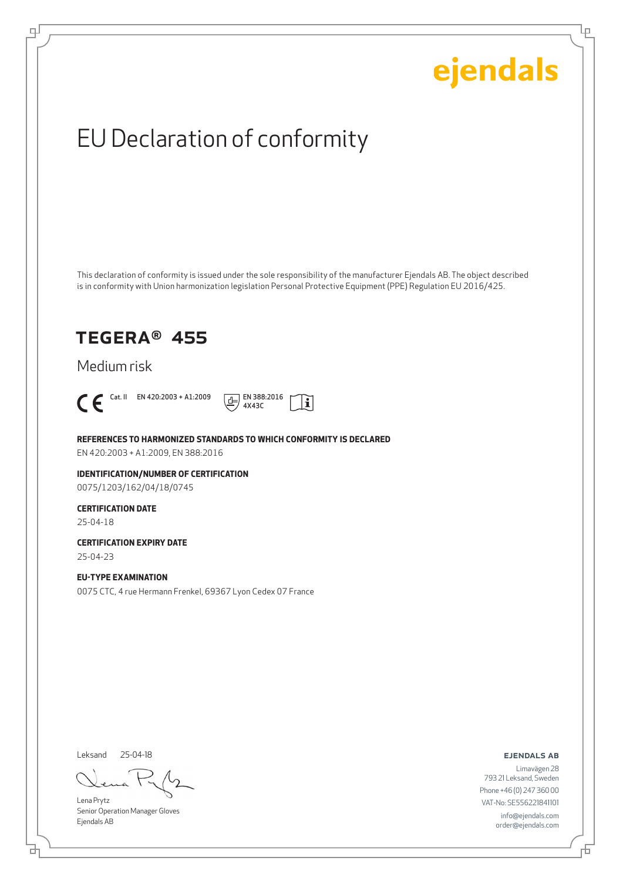Ļμ

# EU Declaration of conformity

This declaration of conformity is issued under the sole responsibility of the manufacturer Ejendals AB. The object described is in conformity with Union harmonization legislation Personal Protective Equipment (PPE) Regulation EU 2016/425.

## TEGERA® 455

Medium risk



டி



**REFERENCES TO HARMONIZED STANDARDS TO WHICH CONFORMITY IS DECLARED**

EN 420:2003 + A1:2009, EN 388:2016

**IDENTIFICATION/NUMBER OF CERTIFICATION** 0075/1203/162/04/18/0745

## **CERTIFICATION DATE**

25-04-18

**CERTIFICATION EXPIRY DATE** 25-04-23

#### **EU-TYPE EXAMINATION**

0075 CTC, 4 rue Hermann Frenkel, 69367 Lyon Cedex 07 France

Leksand 25-04-18

Lena Prytz Senior Operation Manager Gloves Ejendals AB

ejendals ab

Limavägen 28 793 21 Leksand, Sweden Phone +46 (0) 247 360 00 VAT-No: SE556221841101 info@ejendals.com order@ejendals.com

브

舌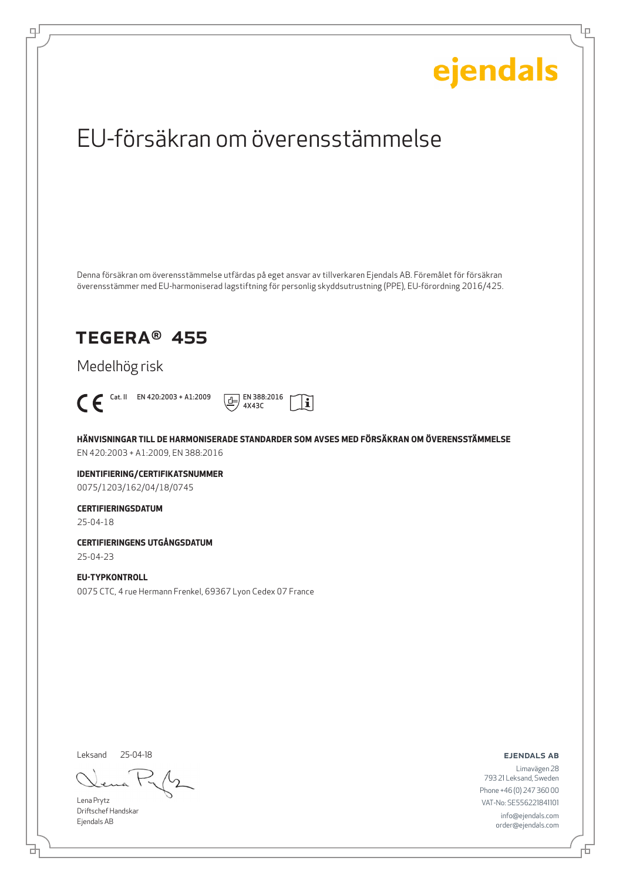Ļμ

# EU-försäkran om överensstämmelse

Denna försäkran om överensstämmelse utfärdas på eget ansvar av tillverkaren Ejendals AB. Föremålet för försäkran överensstämmer med EU-harmoniserad lagstiftning för personlig skyddsutrustning (PPE), EU-förordning 2016/425.

## TEGERA® 455

Medelhög risk



டி



**HÄNVISNINGAR TILL DE HARMONISERADE STANDARDER SOM AVSES MED FÖRSÄKRAN OM ÖVERENSSTÄMMELSE** EN 420:2003 + A1:2009, EN 388:2016

**IDENTIFIERING/CERTIFIKATSNUMMER** 0075/1203/162/04/18/0745

### **CERTIFIERINGSDATUM**

25-04-18

**CERTIFIERINGENS UTGÅNGSDATUM** 25-04-23

**EU-TYPKONTROLL** 0075 CTC, 4 rue Hermann Frenkel, 69367 Lyon Cedex 07 France

Leksand 25-04-18

Lena Prytz Driftschef Handskar Ejendals AB

ejendals ab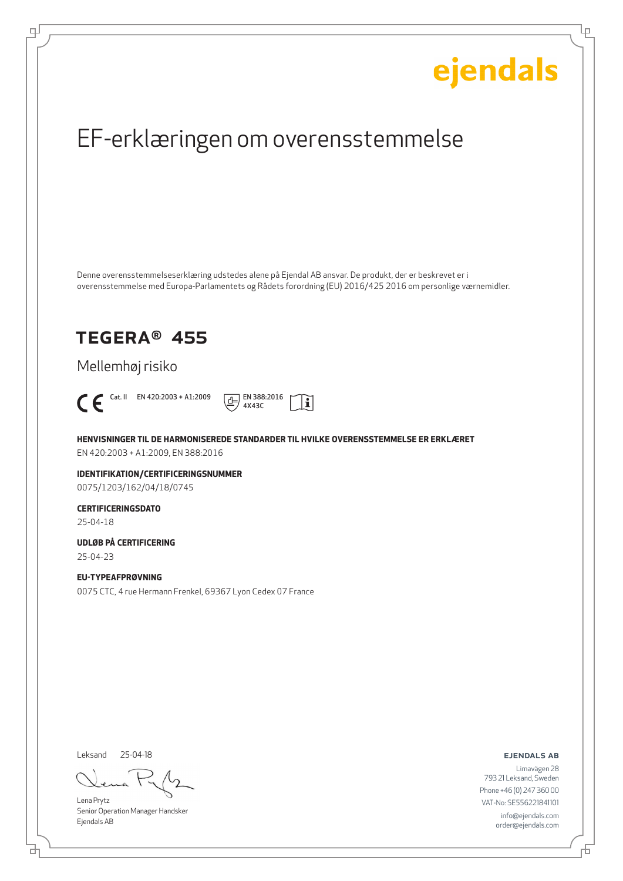Ļμ

# EF-erklæringen om overensstemmelse

Denne overensstemmelseserklæring udstedes alene på Ejendal AB ansvar. De produkt, der er beskrevet er i overensstemmelse med Europa-Parlamentets og Rådets forordning (EU) 2016/425 2016 om personlige værnemidler.

## TEGERA® 455

Mellemhøj risiko



டி



**HENVISNINGER TIL DE HARMONISEREDE STANDARDER TIL HVILKE OVERENSSTEMMELSE ER ERKLÆRET** EN 420:2003 + A1:2009, EN 388:2016

**IDENTIFIKATION/CERTIFICERINGSNUMMER** 0075/1203/162/04/18/0745

**CERTIFICERINGSDATO** 25-04-18

**UDLØB PÅ CERTIFICERING** 25-04-23

**EU-TYPEAFPRØVNING** 0075 CTC, 4 rue Hermann Frenkel, 69367 Lyon Cedex 07 France

Leksand 25-04-18

Lena Prytz Senior Operation Manager Handsker Ejendals AB

ejendals ab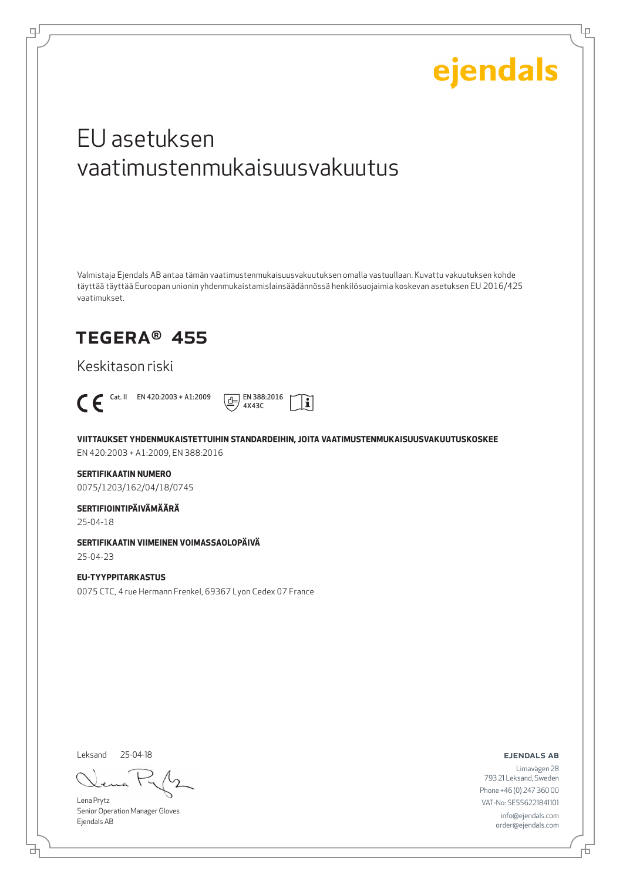Lμ

# EU asetuksen vaatimustenmukaisuusvakuutus

Valmistaja Ejendals AB antaa tämän vaatimustenmukaisuusvakuutuksen omalla vastuullaan. Kuvattu vakuutuksen kohde täyttää täyttää Euroopan unionin yhdenmukaistamislainsäädännössä henkilösuojaimia koskevan asetuksen EU 2016/425 vaatimukset.

## TEGERA® 455

Keskitason riski



டி



**VIITTAUKSET YHDENMUKAISTETTUIHIN STANDARDEIHIN, JOITA VAATIMUSTENMUKAISUUSVAKUUTUSKOSKEE**

EN 420:2003 + A1:2009, EN 388:2016

### **SERTIFIKAATIN NUMERO**

0075/1203/162/04/18/0745

### **SERTIFIOINTIPÄIVÄMÄÄRÄ**

25-04-18

### **SERTIFIKAATIN VIIMEINEN VOIMASSAOLOPÄIVÄ**

25-04-23

#### **EU-TYYPPITARKASTUS** 0075 CTC, 4 rue Hermann Frenkel, 69367 Lyon Cedex 07 France

Leksand 25-04-18

Lena Prytz Senior Operation Manager Gloves Ejendals AB

ejendals ab

Limavägen 28 793 21 Leksand, Sweden Phone +46 (0) 247 360 00 VAT-No: SE556221841101 info@ejendals.com order@ejendals.com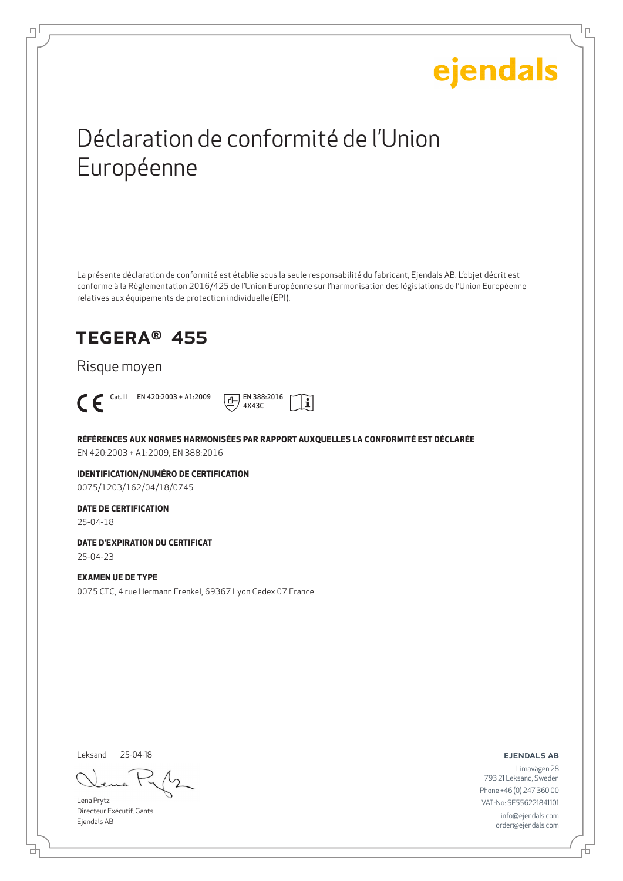Ļμ

# Déclaration de conformité de l'Union Européenne

La présente déclaration de conformité est établie sous la seule responsabilité du fabricant, Ejendals AB. L'objet décrit est conforme à la Règlementation 2016/425 de l'Union Européenne sur l'harmonisation des législations de l'Union Européenne relatives aux équipements de protection individuelle (EPI).

## TEGERA® 455

Risque moyen



டி



**RÉFÉRENCES AUX NORMES HARMONISÉES PAR RAPPORT AUXQUELLES LA CONFORMITÉ EST DÉCLARÉE** EN 420:2003 + A1:2009, EN 388:2016

**IDENTIFICATION/NUMÉRO DE CERTIFICATION** 0075/1203/162/04/18/0745

### **DATE DE CERTIFICATION**

25-04-18

**DATE D'EXPIRATION DU CERTIFICAT**

25-04-23

### **EXAMEN UE DE TYPE**

0075 CTC, 4 rue Hermann Frenkel, 69367 Lyon Cedex 07 France

Leksand 25-04-18

Lena Prytz Directeur Exécutif, Gants Ejendals AB

ejendals ab

브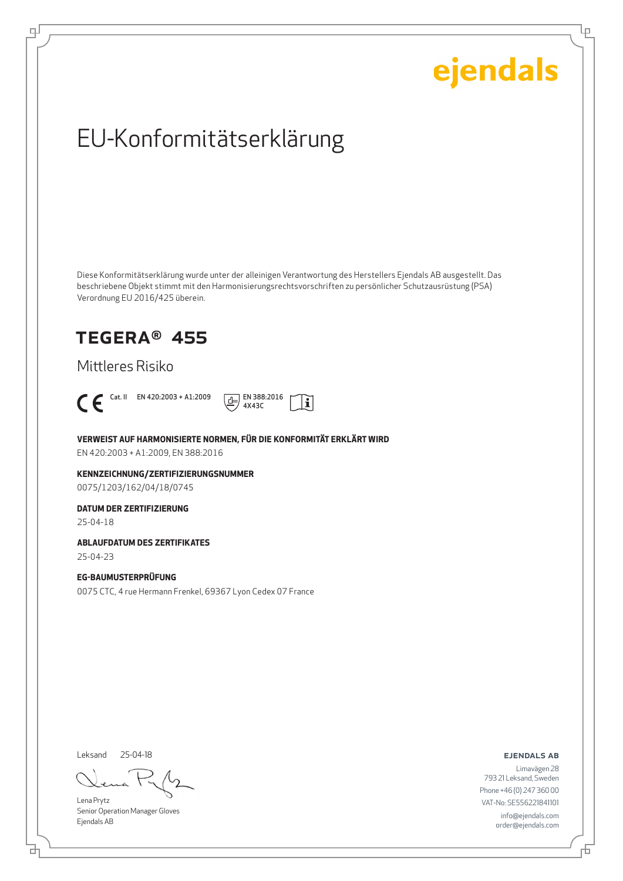Ļμ

# EU-Konformitätserklärung

Diese Konformitätserklärung wurde unter der alleinigen Verantwortung des Herstellers Ejendals AB ausgestellt. Das beschriebene Objekt stimmt mit den Harmonisierungsrechtsvorschriften zu persönlicher Schutzausrüstung (PSA) Verordnung EU 2016/425 überein.

## TEGERA® 455

Mittleres Risiko



டி



**VERWEIST AUF HARMONISIERTE NORMEN, FÜR DIE KONFORMITÄT ERKLÄRT WIRD**

EN 420:2003 + A1:2009, EN 388:2016

**KENNZEICHNUNG/ZERTIFIZIERUNGSNUMMER** 0075/1203/162/04/18/0745

### **DATUM DER ZERTIFIZIERUNG**

25-04-18

#### **ABLAUFDATUM DES ZERTIFIKATES**

25-04-23

### **EG-BAUMUSTERPRÜFUNG**

0075 CTC, 4 rue Hermann Frenkel, 69367 Lyon Cedex 07 France

Leksand 25-04-18

Lena Prytz Senior Operation Manager Gloves Ejendals AB

ejendals ab

Limavägen 28 793 21 Leksand, Sweden Phone +46 (0) 247 360 00 VAT-No: SE556221841101 info@ejendals.com order@ejendals.com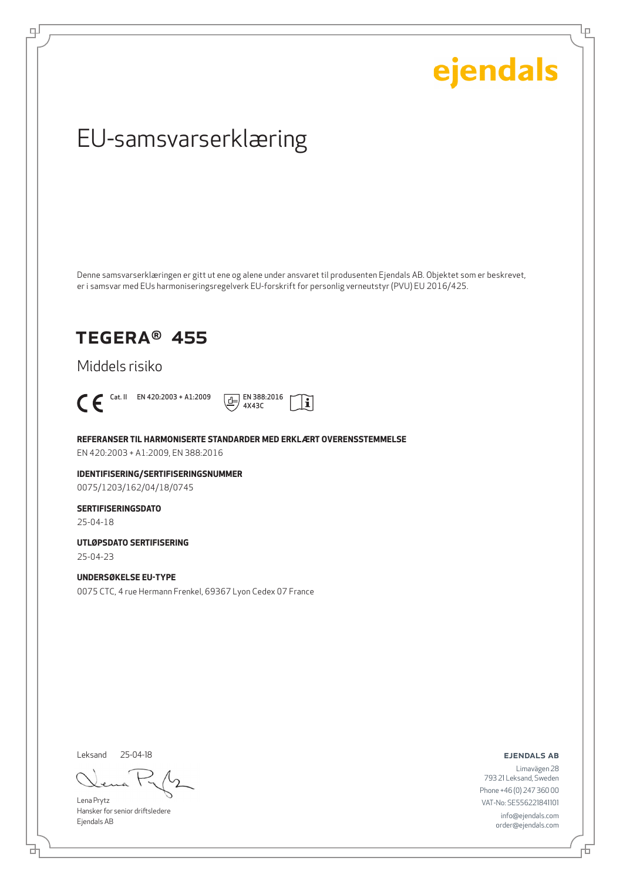Ļμ

# EU-samsvarserklæring

Denne samsvarserklæringen er gitt ut ene og alene under ansvaret til produsenten Ejendals AB. Objektet som er beskrevet, er i samsvar med EUs harmoniseringsregelverk EU-forskrift for personlig verneutstyr (PVU) EU 2016/425.

## TEGERA® 455

Middels risiko



டி



**REFERANSER TIL HARMONISERTE STANDARDER MED ERKLÆRT OVERENSSTEMMELSE**

EN 420:2003 + A1:2009, EN 388:2016

**IDENTIFISERING/SERTIFISERINGSNUMMER** 0075/1203/162/04/18/0745

### **SERTIFISERINGSDATO**

25-04-18

**UTLØPSDATO SERTIFISERING** 25-04-23

**UNDERSØKELSE EU-TYPE**

0075 CTC, 4 rue Hermann Frenkel, 69367 Lyon Cedex 07 France

Leksand 25-04-18

Lena Prytz Hansker for senior driftsledere Ejendals AB

ejendals ab

Limavägen 28 793 21 Leksand, Sweden Phone +46 (0) 247 360 00 VAT-No: SE556221841101 info@ejendals.com order@ejendals.com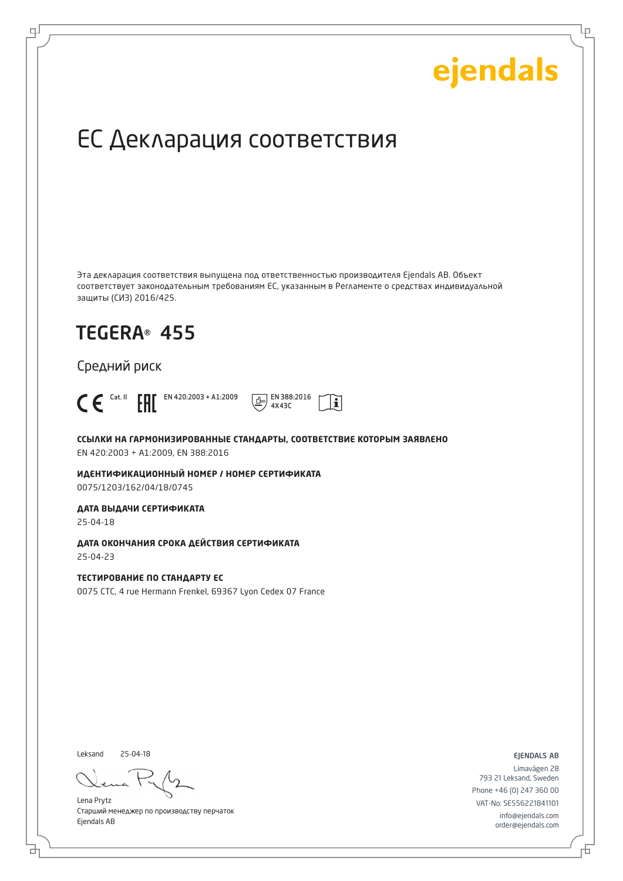Ļμ

# ЕС Декларация соответствия

Эта декларация соответствия выпущена под ответственностью производителя Ejendals AB. Объект соответствует законодательным требованиям ЕС, указанным в Регламенте о средствах индивидуальной защиты (СИЗ) 2016/425.

## TEGERA® 455

Средний риск



டி



**ССЫЛКИ НА ГАРМОНИЗИРОВАННЫЕ СТАНДАРТЫ, СООТВЕТСТВИЕ КОТОРЫМ ЗАЯВЛЕНО** EN 420:2003 + A1:2009, EN 388:2016

**ИДЕНТИФИКАЦИОННЫЙ НОМЕР / НОМЕР СЕРТИФИКАТА** 0075/1203/162/04/18/0745

**ДАТА ВЫДАЧИ СЕРТИФИКАТА**

25-04-18

**ДАТА ОКОНЧАНИЯ СРОКА ДЕЙСТВИЯ СЕРТИФИКАТА** 25-04-23

**ТЕСТИРОВАНИЕ ПО СТАНДАРТУ ЕС** 0075 CTC, 4 rue Hermann Frenkel, 69367 Lyon Cedex 07 France

Leksand 25-04-18

Lena Prytz Старший менеджер по производству перчаток Ejendals AB

ejendals ab

Limavägen 28 793 21 Leksand, Sweden Phone +46 (0) 247 360 00 VAT-No: SE556221841101 info@ejendals.com order@ejendals.com

Đ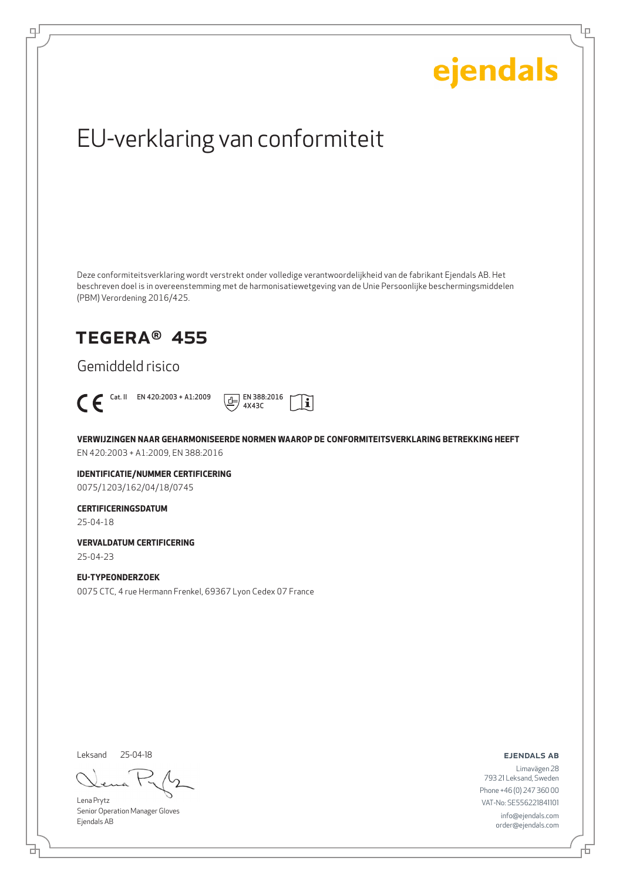Ļμ

# EU-verklaring van conformiteit

Deze conformiteitsverklaring wordt verstrekt onder volledige verantwoordelijkheid van de fabrikant Ejendals AB. Het beschreven doel is in overeenstemming met de harmonisatiewetgeving van de Unie Persoonlijke beschermingsmiddelen (PBM) Verordening 2016/425.

## TEGERA® 455

Gemiddeld risico



டி



**VERWIJZINGEN NAAR GEHARMONISEERDE NORMEN WAAROP DE CONFORMITEITSVERKLARING BETREKKING HEEFT** EN 420:2003 + A1:2009, EN 388:2016

**IDENTIFICATIE/NUMMER CERTIFICERING** 0075/1203/162/04/18/0745

### **CERTIFICERINGSDATUM**

25-04-18

**VERVALDATUM CERTIFICERING** 25-04-23

### **EU-TYPEONDERZOEK**

0075 CTC, 4 rue Hermann Frenkel, 69367 Lyon Cedex 07 France

Leksand 25-04-18

Lena Prytz Senior Operation Manager Gloves Ejendals AB

ejendals ab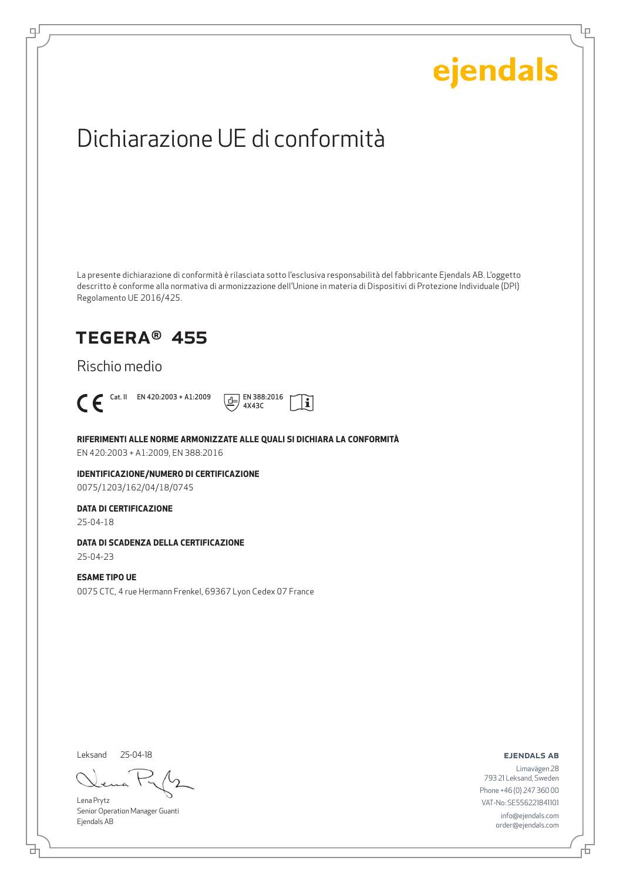Ļμ

# Dichiarazione UE di conformità

La presente dichiarazione di conformità è rilasciata sotto l'esclusiva responsabilità del fabbricante Ejendals AB. L'oggetto descritto è conforme alla normativa di armonizzazione dell'Unione in materia di Dispositivi di Protezione Individuale (DPI) Regolamento UE 2016/425.

 $|\mathbf{i}|$ 

## TEGERA® 455

Rischio medio



டி



**RIFERIMENTI ALLE NORME ARMONIZZATE ALLE QUALI SI DICHIARA LA CONFORMITÀ**

EN 420:2003 + A1:2009, EN 388:2016

**IDENTIFICAZIONE/NUMERO DI CERTIFICAZIONE** 0075/1203/162/04/18/0745

#### **DATA DI CERTIFICAZIONE**

25-04-18

### **DATA DI SCADENZA DELLA CERTIFICAZIONE**

25-04-23

#### **ESAME TIPO UE** 0075 CTC, 4 rue Hermann Frenkel, 69367 Lyon Cedex 07 France

Leksand 25-04-18

Lena Prytz Senior Operation Manager Guanti Ejendals AB

#### ejendals ab

브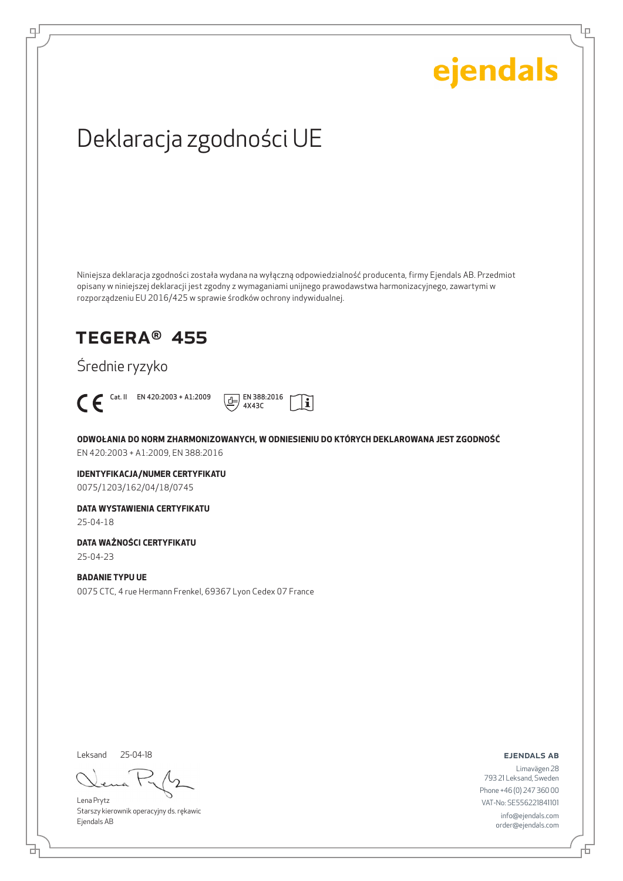Lρ

# Deklaracja zgodności UE

Niniejsza deklaracja zgodności została wydana na wyłączną odpowiedzialność producenta, firmy Ejendals AB. Przedmiot opisany w niniejszej deklaracji jest zgodny z wymaganiami unijnego prawodawstwa harmonizacyjnego, zawartymi w rozporządzeniu EU 2016/425 w sprawie środków ochrony indywidualnej.

## TEGERA® 455

Średnie ryzyko



ψ



**ODWOŁANIA DO NORM ZHARMONIZOWANYCH, W ODNIESIENIU DO KTÓRYCH DEKLAROWANA JEST ZGODNOŚĆ** EN 420:2003 + A1:2009, EN 388:2016

**IDENTYFIKACJA/NUMER CERTYFIKATU** 0075/1203/162/04/18/0745

**DATA WYSTAWIENIA CERTYFIKATU** 25-04-18

**DATA WAŻNOŚCI CERTYFIKATU**

25-04-23

**BADANIE TYPU UE** 0075 CTC, 4 rue Hermann Frenkel, 69367 Lyon Cedex 07 France

Leksand 25-04-18

Lena Prytz Starszy kierownik operacyjny ds. rękawic Ejendals AB

ejendals ab

Limavägen 28 793 21 Leksand, Sweden Phone +46 (0) 247 360 00 VAT-No: SE556221841101 info@ejendals.com order@ejendals.com

舌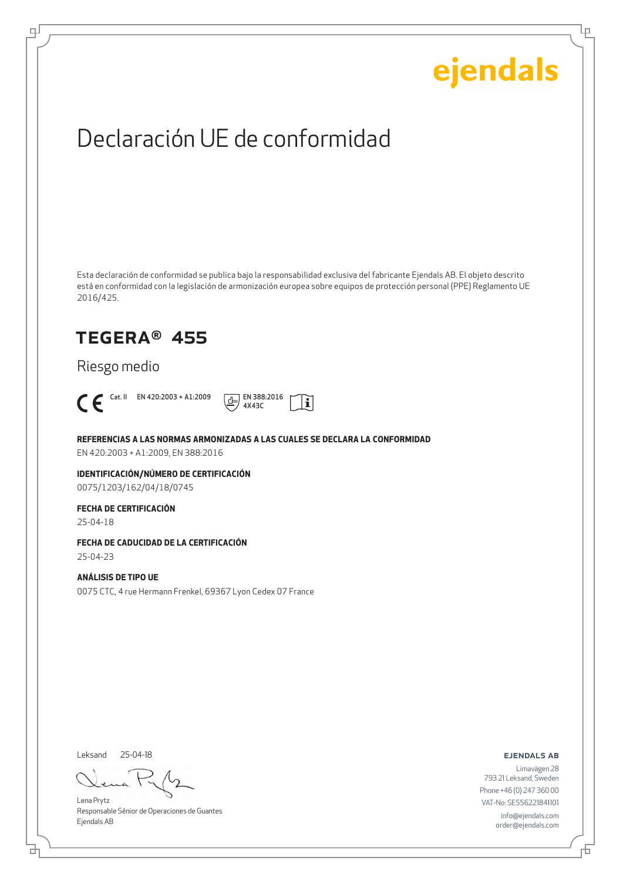Ļμ

# Declaración UE de conformidad

Esta declaración de conformidad se publica bajo la responsabilidad exclusiva del fabricante Ejendals AB. El objeto descrito está en conformidad con la legislación de armonización europea sobre equipos de protección personal (PPE) Reglamento UE 2016/425.

## TEGERA® 455

Riesgo medio



டி



**REFERENCIAS A LAS NORMAS ARMONIZADAS A LAS CUALES SE DECLARA LA CONFORMIDAD**

EN 420:2003 + A1:2009, EN 388:2016

**IDENTIFICACIÓN/NÚMERO DE CERTIFICACIÓN** 0075/1203/162/04/18/0745

### **FECHA DE CERTIFICACIÓN**

25-04-18

### **FECHA DE CADUCIDAD DE LA CERTIFICACIÓN**

25-04-23

#### **ANÁLISIS DE TIPO UE** 0075 CTC, 4 rue Hermann Frenkel, 69367 Lyon Cedex 07 France

Leksand 25-04-18

Lena Prytz Responsable Sénior de Operaciones de Guantes Ejendals AB

#### ejendals ab

Đ

Limavägen 28 793 21 Leksand, Sweden Phone +46 (0) 247 360 00 VAT-No: SE556221841101 info@ejendals.com order@ejendals.com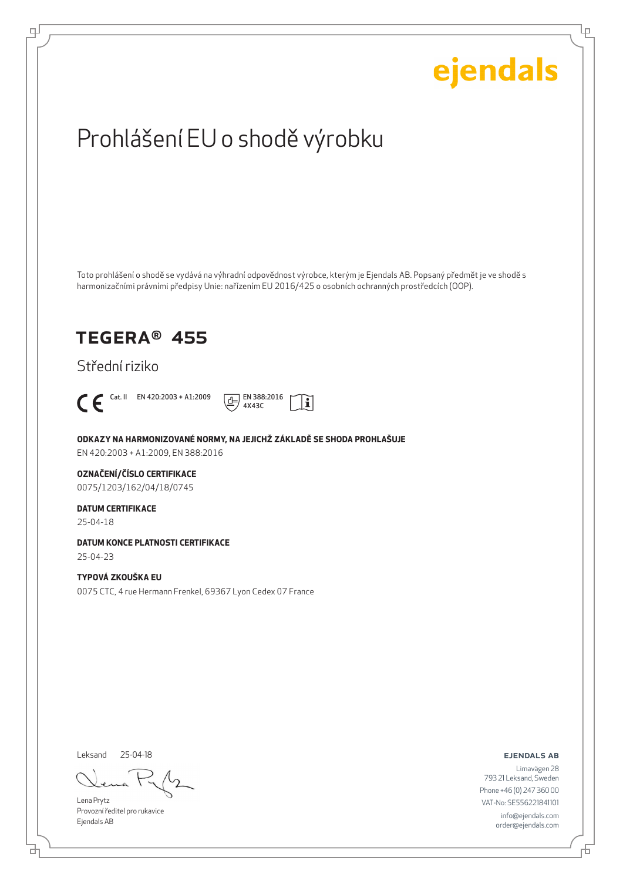

Leksand 25-04-18

Lena Prytz Provozní ředitel pro rukavice Ejendals AB

ejendals ab

Limavägen 28 793 21 Leksand, Sweden Phone +46 (0) 247 360 00 VAT-No: SE556221841101 info@ejendals.com order@ejendals.com

브

டி

Ļμ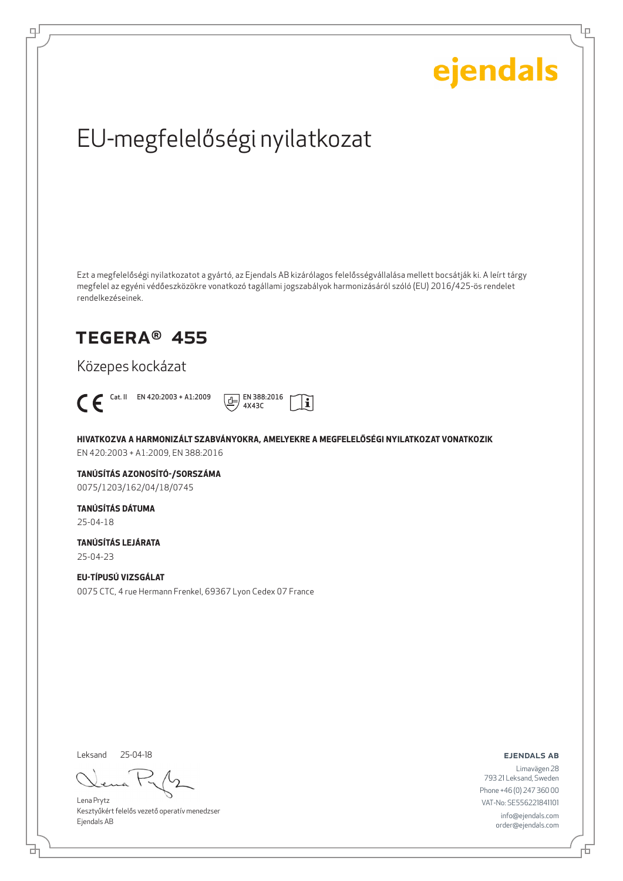Ļμ

# EU-megfelelőségi nyilatkozat

Ezt a megfelelőségi nyilatkozatot a gyártó, az Ejendals AB kizárólagos felelősségvállalása mellett bocsátják ki. A leírt tárgy megfelel az egyéni védőeszközökre vonatkozó tagállami jogszabályok harmonizásáról szóló (EU) 2016/425-ös rendelet rendelkezéseinek.

## TEGERA® 455

Közepes kockázat



ψ



**HIVATKOZVA A HARMONIZÁLT SZABVÁNYOKRA, AMELYEKRE A MEGFELELŐSÉGI NYILATKOZAT VONATKOZIK** EN 420:2003 + A1:2009, EN 388:2016

**TANÚSÍTÁS AZONOSÍTÓ-/SORSZÁMA**

0075/1203/162/04/18/0745

**TANÚSÍTÁS DÁTUMA** 25-04-18

**TANÚSÍTÁS LEJÁRATA** 25-04-23

### **EU-TÍPUSÚ VIZSGÁLAT**

0075 CTC, 4 rue Hermann Frenkel, 69367 Lyon Cedex 07 France

Leksand 25-04-18

₫

Lena Prytz Kesztyűkért felelős vezető operatív menedzser Ejendals AB

ejendals ab

Đ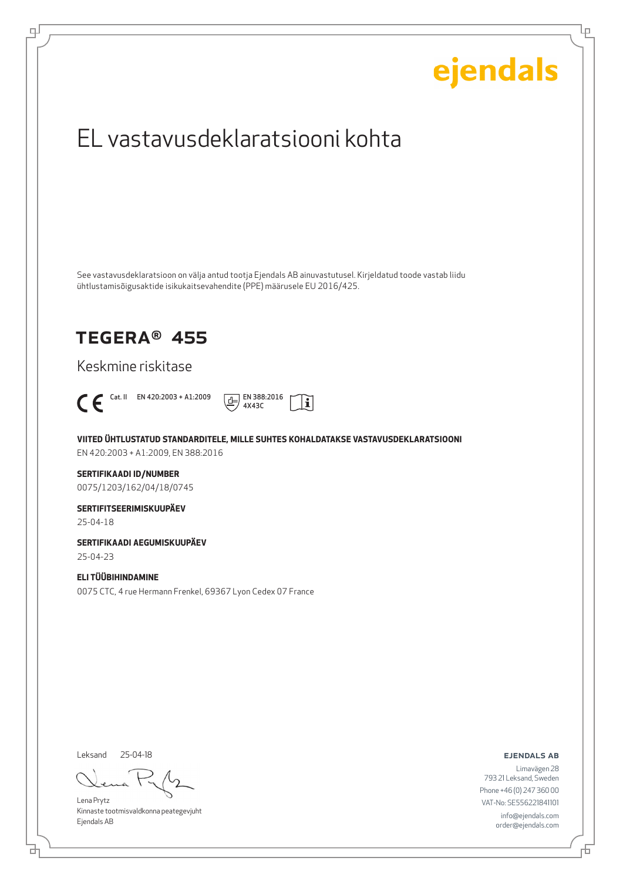# ejendals EL vastavusdeklaratsiooni kohta See vastavusdeklaratsioon on välja antud tootja Ejendals AB ainuvastutusel. Kirjeldatud toode vastab liidu ühtlustamisõigusaktide isikukaitsevahendite (PPE) määrusele EU 2016/425. TEGERA® 455 Keskmine riskitase  $\bigcap$  Cat. II EN 420:2003 + A1:2009  $\boxed{\underline{d}}$  EN 388:2016  $|\tilde{\mathbf{i}}|$ 4X43C **VIITED ÜHTLUSTATUD STANDARDITELE, MILLE SUHTES KOHALDATAKSE VASTAVUSDEKLARATSIOONI** EN 420:2003 + A1:2009, EN 388:2016 **SERTIFIKAADI ID/NUMBER** 0075/1203/162/04/18/0745 **SERTIFITSEERIMISKUUPÄEV** 25-04-18 **SERTIFIKAADI AEGUMISKUUPÄEV** 25-04-23 **ELI TÜÜBIHINDAMINE** 0075 CTC, 4 rue Hermann Frenkel, 69367 Lyon Cedex 07 France Leksand 25-04-18ejendals ab Limavägen 28 793 21 Leksand, Sweden Phone +46 (0) 247 360 00

Lena Prytz Kinnaste tootmisvaldkonna peategevjuht Ejendals AB

브

டி

VAT-No: SE556221841101 info@ejendals.com order@ejendals.com

Ļμ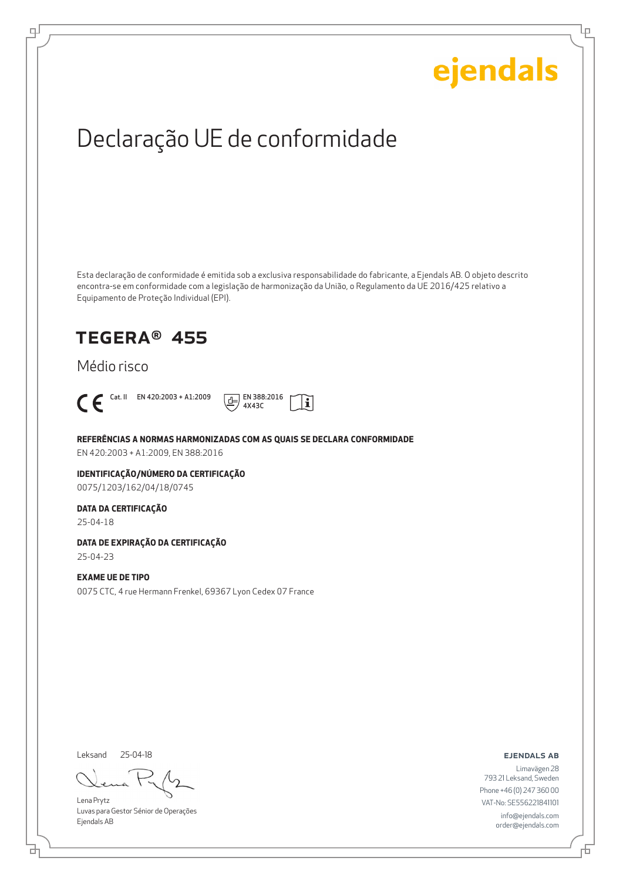Ļμ

# Declaração UE de conformidade

Esta declaração de conformidade é emitida sob a exclusiva responsabilidade do fabricante, a Ejendals AB. O objeto descrito encontra-se em conformidade com a legislação de harmonização da União, o Regulamento da UE 2016/425 relativo a Equipamento de Proteção Individual (EPI).

i.

## TEGERA® 455

### Médio risco



ψ



**REFERÊNCIAS A NORMAS HARMONIZADAS COM AS QUAIS SE DECLARA CONFORMIDADE**

EN 420:2003 + A1:2009, EN 388:2016

#### **IDENTIFICAÇÃO/NÚMERO DA CERTIFICAÇÃO** 0075/1203/162/04/18/0745

#### **DATA DA CERTIFICAÇÃO**

25-04-18

### **DATA DE EXPIRAÇÃO DA CERTIFICAÇÃO**

25-04-23

### **EXAME UE DE TIPO**

0075 CTC, 4 rue Hermann Frenkel, 69367 Lyon Cedex 07 France

Leksand 25-04-18

Lena Prytz Luvas para Gestor Sénior de Operações Ejendals AB

ejendals ab

Limavägen 28 793 21 Leksand, Sweden Phone +46 (0) 247 360 00 VAT-No: SE556221841101 info@ejendals.com order@ejendals.com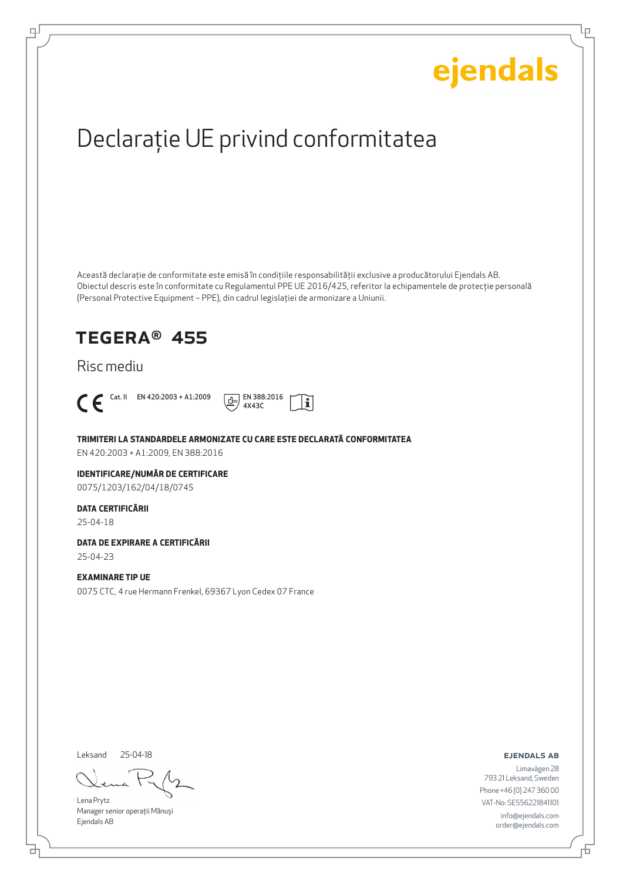Ļμ

# Declaraţie UE privind conformitatea

Această declaraţie de conformitate este emisă în condiţiile responsabilităţii exclusive a producătorului Ejendals AB. Obiectul descris este în conformitate cu Regulamentul PPE UE 2016/425, referitor la echipamentele de protecţie personală (Personal Protective Equipment – PPE), din cadrul legislaţiei de armonizare a Uniunii.

## TEGERA® 455

### Risc mediu



டி



**TRIMITERI LA STANDARDELE ARMONIZATE CU CARE ESTE DECLARATĂ CONFORMITATEA**

EN 420:2003 + A1:2009, EN 388:2016

### **IDENTIFICARE/NUMĂR DE CERTIFICARE**

0075/1203/162/04/18/0745

#### **DATA CERTIFICĂRII**

25-04-18

### **DATA DE EXPIRARE A CERTIFICĂRII**

25-04-23

#### **EXAMINARE TIP UE**

0075 CTC, 4 rue Hermann Frenkel, 69367 Lyon Cedex 07 France

Leksand 25-04-18

Lena Prytz Manager senior operatii Mănuși Ejendals AB

#### ejendals ab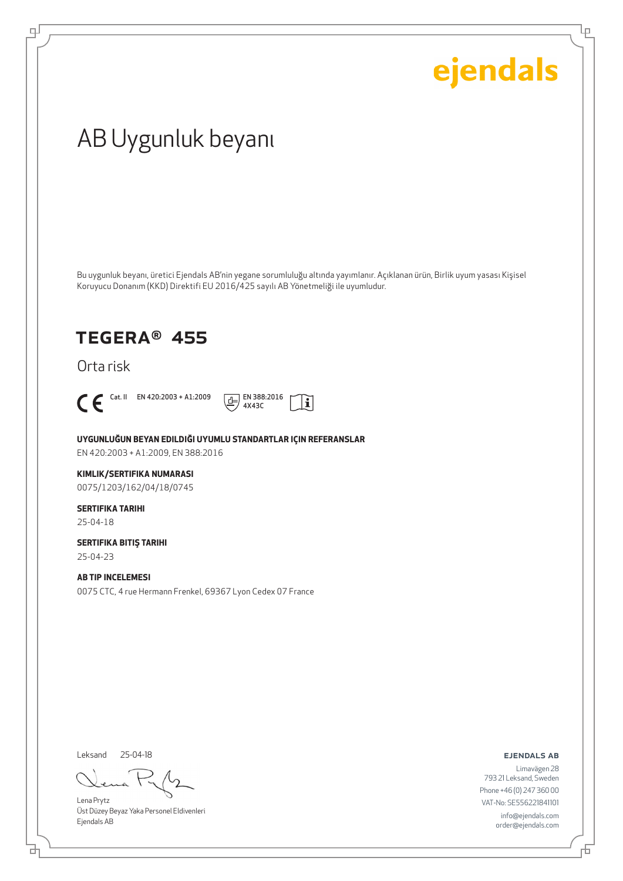Ļρ

# AB Uygunluk beyanı

Bu uygunluk beyanı, üretici Ejendals AB'nin yegane sorumluluğu altında yayımlanır. Açıklanan ürün, Birlik uyum yasası Kişisel Koruyucu Donanım (KKD) Direktifi EU 2016/425 sayılı AB Yönetmeliği ile uyumludur.

## TEGERA® 455

Orta risk



டி



**UYGUNLUĞUN BEYAN EDILDIĞI UYUMLU STANDARTLAR IÇIN REFERANSLAR** EN 420:2003 + A1:2009, EN 388:2016

#### **KIMLIK/SERTIFIKA NUMARASI**

0075/1203/162/04/18/0745

#### **SERTIFIKA TARIHI** 25-04-18

**SERTIFIKA BITIŞ TARIHI** 25-04-23

### **AB TIP INCELEMESI**

0075 CTC, 4 rue Hermann Frenkel, 69367 Lyon Cedex 07 France

Leksand 25-04-18

Lena Prytz Üst Düzey Beyaz Yaka Personel Eldivenleri Ejendals AB

#### ejendals ab

Limavägen 28 793 21 Leksand, Sweden Phone +46 (0) 247 360 00 VAT-No: SE556221841101 info@ejendals.com order@ejendals.com

舌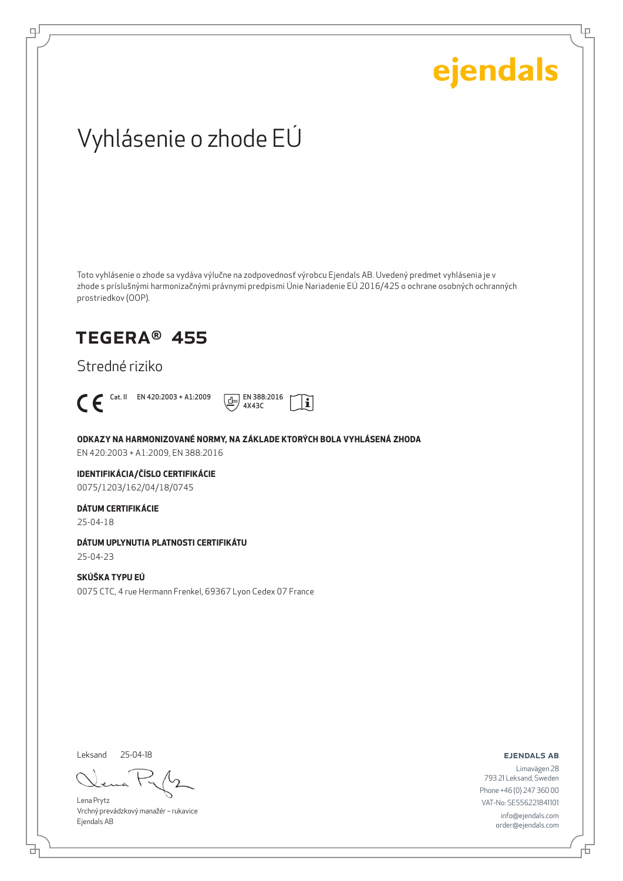Ļμ

# Vyhlásenie o zhode EÚ

Toto vyhlásenie o zhode sa vydáva výlučne na zodpovednosť výrobcu Ejendals AB. Uvedený predmet vyhlásenia je v zhode s príslušnými harmonizačnými právnymi predpismi Únie Nariadenie EÚ 2016/425 o ochrane osobných ochranných prostriedkov (OOP).

## TEGERA® 455

Stredné riziko



டி



**ODKAZY NA HARMONIZOVANÉ NORMY, NA ZÁKLADE KTORÝCH BOLA VYHLÁSENÁ ZHODA**

EN 420:2003 + A1:2009, EN 388:2016

### **IDENTIFIKÁCIA/ČÍSLO CERTIFIKÁCIE**

0075/1203/162/04/18/0745

### **DÁTUM CERTIFIKÁCIE**

25-04-18

#### **DÁTUM UPLYNUTIA PLATNOSTI CERTIFIKÁTU**

25-04-23

### **SKÚŠKA TYPU EÚ** 0075 CTC, 4 rue Hermann Frenkel, 69367 Lyon Cedex 07 France

Leksand 25-04-18

Lena Prytz Vrchný prevádzkový manažér – rukavice Ejendals AB

ejendals ab

브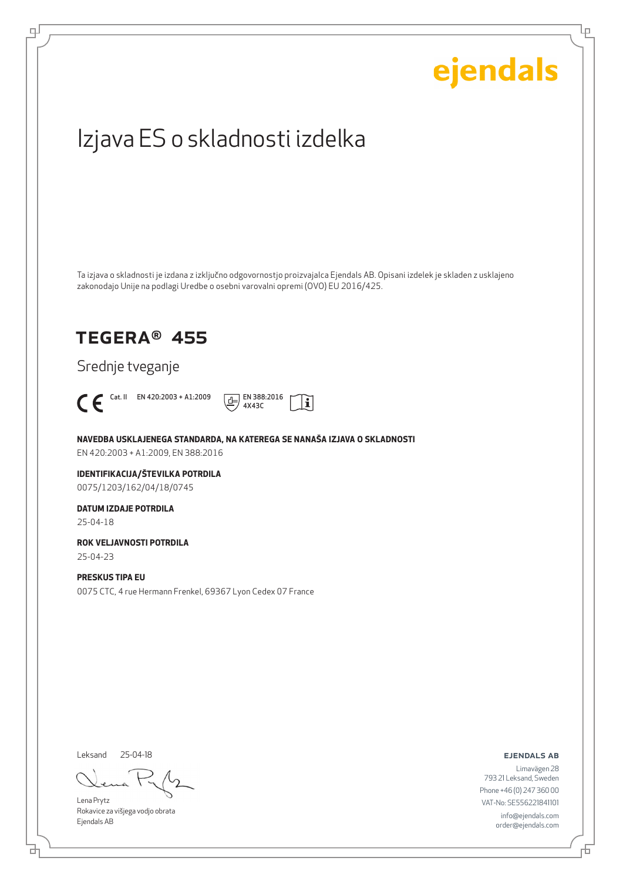# ejendals Izjava ES o skladnosti izdelka Ta izjava o skladnosti je izdana z izključno odgovornostjo proizvajalca Ejendals AB. Opisani izdelek je skladen z usklajeno zakonodajo Unije na podlagi Uredbe o osebni varovalni opremi (OVO) EU 2016/425. TEGERA® 455 Srednje tveganje  $\bigcap_{4 \times 430}$  Cat. II EN 420:2003 + A1:2009  $\boxed{\underline{A}}$  EN 388:2016  $|\tilde{\mathbf{i}}|$ 4X43C **NAVEDBA USKLAJENEGA STANDARDA, NA KATEREGA SE NANAŠA IZJAVA O SKLADNOSTI** EN 420:2003 + A1:2009, EN 388:2016 **IDENTIFIKACIJA/ŠTEVILKA POTRDILA** 0075/1203/162/04/18/0745 **DATUM IZDAJE POTRDILA** 25-04-18 **ROK VELJAVNOSTI POTRDILA** 25-04-23 **PRESKUS TIPA EU** 0075 CTC, 4 rue Hermann Frenkel, 69367 Lyon Cedex 07 France

Leksand 25-04-18

브

டி

Lena Prytz Rokavice za višjega vodjo obrata Ejendals AB

ejendals ab

Limavägen 28 793 21 Leksand, Sweden Phone +46 (0) 247 360 00 VAT-No: SE556221841101 info@ejendals.com order@ejendals.com

Ļμ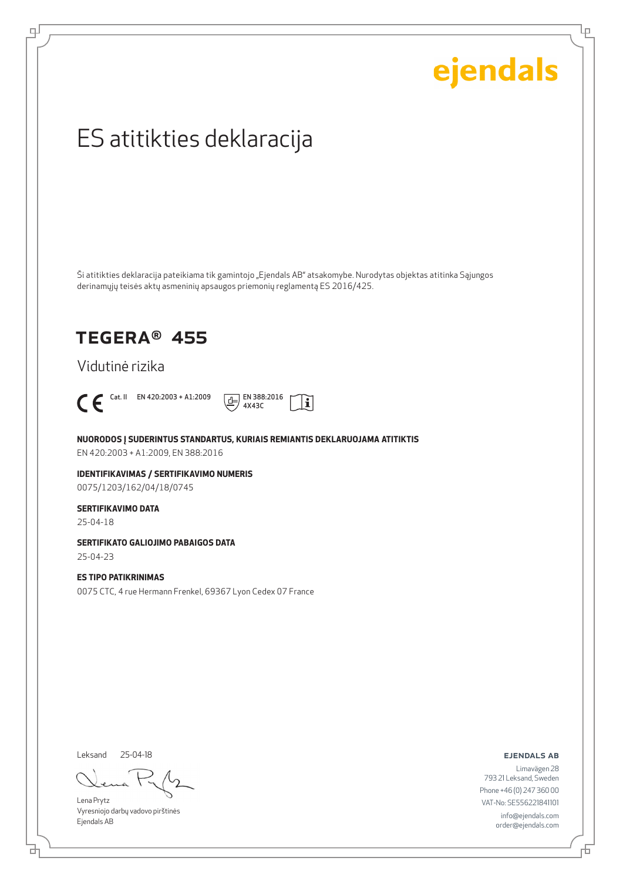Ļμ

# ES atitikties deklaracija

Ši atitikties deklaracija pateikiama tik gamintojo "Ejendals AB" atsakomybe. Nurodytas objektas atitinka Sąjungos derinamųjų teisės aktų asmeninių apsaugos priemonių reglamentą ES 2016/425.

## TEGERA® 455

Vidutinė rizika



டி



**NUORODOS Į SUDERINTUS STANDARTUS, KURIAIS REMIANTIS DEKLARUOJAMA ATITIKTIS** EN 420:2003 + A1:2009, EN 388:2016

**IDENTIFIKAVIMAS / SERTIFIKAVIMO NUMERIS** 0075/1203/162/04/18/0745

#### **SERTIFIKAVIMO DATA**

25-04-18

### **SERTIFIKATO GALIOJIMO PABAIGOS DATA**

25-04-23

#### **ES TIPO PATIKRINIMAS**

0075 CTC, 4 rue Hermann Frenkel, 69367 Lyon Cedex 07 France

Leksand 25-04-18

Lena Prytz Vyresniojo darbų vadovo pirštinės Ejendals AB

ejendals ab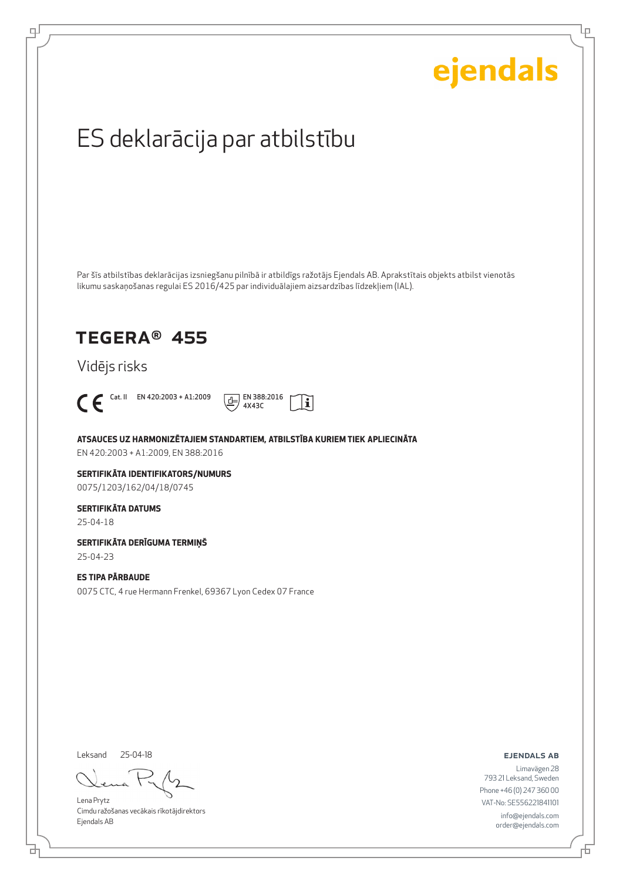Lρ

# ES deklarācija par atbilstību

Par šīs atbilstības deklarācijas izsniegšanu pilnībā ir atbildīgs ražotājs Ejendals AB. Aprakstītais objekts atbilst vienotās likumu saskaņošanas regulai ES 2016/425 par individuālajiem aizsardzības līdzekļiem (IAL).

## TEGERA® 455

Vidējs risks



டி



**ATSAUCES UZ HARMONIZĒTAJIEM STANDARTIEM, ATBILSTĪBA KURIEM TIEK APLIECINĀTA**

EN 420:2003 + A1:2009, EN 388:2016

**SERTIFIKĀTA IDENTIFIKATORS/NUMURS** 0075/1203/162/04/18/0745

#### **SERTIFIKĀTA DATUMS**

25-04-18

**SERTIFIKĀTA DERĪGUMA TERMIŅŠ** 25-04-23

#### **ES TIPA PĀRBAUDE** 0075 CTC, 4 rue Hermann Frenkel, 69367 Lyon Cedex 07 France

Leksand

브

25-04-18

Lena Prytz Cimdu ražošanas vecākais rīkotājdirektors Ejendals AB

ejendals ab

Đ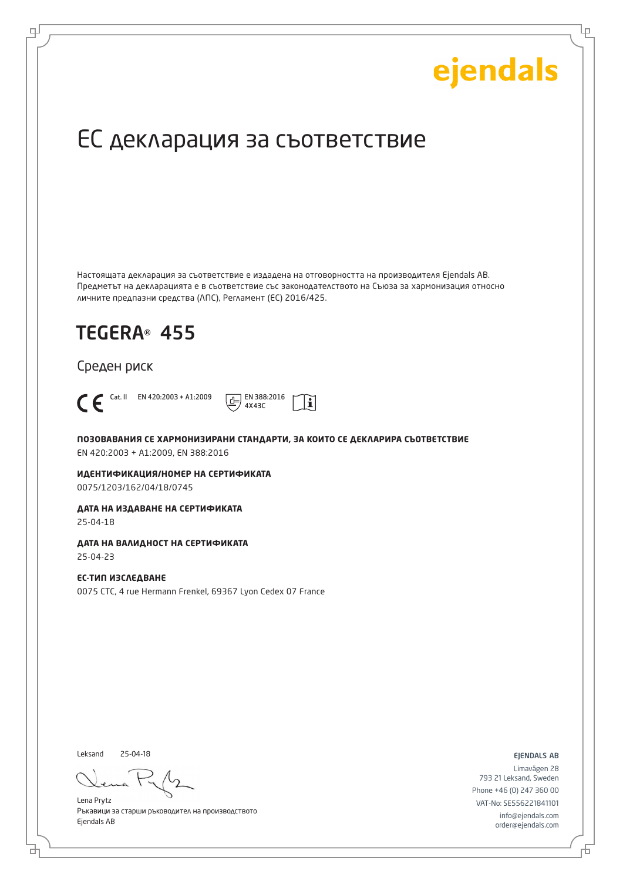Ļμ

# ЕС декларация за съответствие

Настоящата декларация за съответствие е издадена на отговорността на производителя Ejendals AB. Предметът на декларацията е в съответствие със законодателството на Съюза за хармонизация относно личните предпазни средства (ЛПС), Регламент (ЕС) 2016/425.

 $\mathbf i$ 

## TEGERA® 455

Среден риск



로

Cat. II EN 420:2003 + A1:2009  $\boxed{+}$  EN 388:2016 4X43C

**ПОЗОВАВАНИЯ СЕ ХАРМОНИЗИРАНИ СТАНДАРТИ, ЗА КОИТО СЕ ДЕКЛАРИРА СЪОТВЕТСТВИЕ** EN 420:2003 + A1:2009, EN 388:2016

**ИДЕНТИФИКАЦИЯ/НОМЕР НА СЕРТИФИКАТА** 0075/1203/162/04/18/0745

**ДАТА НА ИЗДАВАНЕ НА СЕРТИФИКАТА**

25-04-18

**ДАТА НА ВАЛИДНОСТ НА СЕРТИФИКАТА**

25-04-23

**ЕС-ТИП ИЗСЛЕДВАНЕ** 0075 CTC, 4 rue Hermann Frenkel, 69367 Lyon Cedex 07 France

Leksand 25-04-18

Lena Prytz Ръкавици за старши ръководител на производството Ejendals AB

ejendals ab

Б